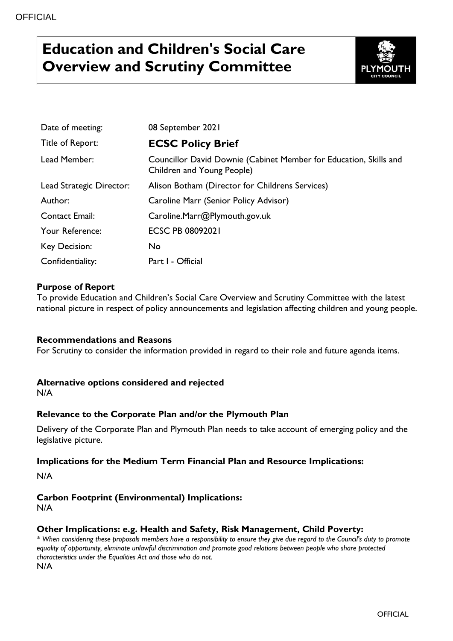# **Education and Children's Social Care Overview and Scrutiny Committee**



| Date of meeting:         | 08 September 2021                                                                               |
|--------------------------|-------------------------------------------------------------------------------------------------|
| Title of Report:         | <b>ECSC Policy Brief</b>                                                                        |
| Lead Member:             | Councillor David Downie (Cabinet Member for Education, Skills and<br>Children and Young People) |
| Lead Strategic Director: | Alison Botham (Director for Childrens Services)                                                 |
| Author:                  | Caroline Marr (Senior Policy Advisor)                                                           |
| <b>Contact Email:</b>    | Caroline.Marr@Plymouth.gov.uk                                                                   |
| Your Reference:          | <b>ECSC PB 08092021</b>                                                                         |
| Key Decision:            | No                                                                                              |
| Confidentiality:         | Part I - Official                                                                               |

# **Purpose of Report**

To provide Education and Children's Social Care Overview and Scrutiny Committee with the latest national picture in respect of policy announcements and legislation affecting children and young people.

# **Recommendations and Reasons**

For Scrutiny to consider the information provided in regard to their role and future agenda items.

#### **Alternative options considered and rejected**

N/A

# **Relevance to the Corporate Plan and/or the Plymouth Plan**

Delivery of the Corporate Plan and Plymouth Plan needs to take account of emerging policy and the legislative picture.

#### **Implications for the Medium Term Financial Plan and Resource Implications:**

N/A

# **Carbon Footprint (Environmental) Implications:**

N/A

# **Other Implications: e.g. Health and Safety, Risk Management, Child Poverty:**

*\* When considering these proposals members have a responsibility to ensure they give due regard to the Council's duty to promote equality of opportunity, eliminate unlawful discrimination and promote good relations between people who share protected characteristics under the Equalities Act and those who do not.* N/A